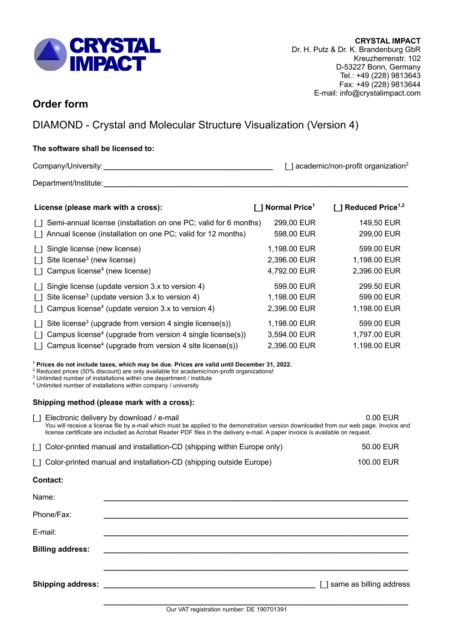

# **Order form**

DIAMOND - Crystal and Molecular Structure Visualization (Version 4)

# **The software shall be licensed to:**

Company/University: Company/University:

Department/Institute:

| License (please mark with a cross):                                                                                                                                                                                                                             | Normal Price <sup>1</sup>                    | 1 Reduced Price <sup>1,2</sup>             |
|-----------------------------------------------------------------------------------------------------------------------------------------------------------------------------------------------------------------------------------------------------------------|----------------------------------------------|--------------------------------------------|
| Semi-annual license (installation on one PC; valid for 6 months)<br>$\Box$<br>Annual license (installation on one PC; valid for 12 months)<br>$\Box$                                                                                                            | 299,00 EUR<br>598,00 EUR                     | 149,50 EUR<br>299,00 EUR                   |
| Single license (new license)<br>Site license <sup>3</sup> (new license)<br>$\Box$<br>Campus license <sup>4</sup> (new license)<br>$\Box$                                                                                                                        | 1,198.00 EUR<br>2,396.00 EUR<br>4,792.00 EUR | 599.00 EUR<br>1,198.00 EUR<br>2,396.00 EUR |
| Single license (update version 3.x to version 4)<br>$\Box$<br>Site license <sup>3</sup> (update version $3.x$ to version 4)<br>$\Box$<br>Campus license <sup>4</sup> (update version 3.x to version 4)                                                          | 599.00 EUR<br>1,198.00 EUR<br>2,396.00 EUR   | 299.50 EUR<br>599.00 EUR<br>1,198.00 EUR   |
| Site license <sup>3</sup> (upgrade from version 4 single license(s))<br>$\Box$<br>Campus license <sup>4</sup> (upgrade from version 4 single license(s))<br>$\lceil$ $\rceil$<br>Campus license <sup>4</sup> (upgrade from version 4 site license(s))<br>$\Box$ | 1,198.00 EUR<br>3,594.00 EUR<br>2,396.00 EUR | 599.00 EUR<br>1,797.00 EUR<br>1,198.00 EUR |

**<sup>1</sup> Prices do not include taxes, which may be due. Prices are valid until December 31, 2022.**

<sup>2</sup> Reduced prices (50% discount) are only available for academic/non-profit organizations!

<sup>3</sup> Unlimited number of installations within one department / institute

<sup>4</sup> Unlimited number of installations within company / university

# **Shipping method (please mark with a cross):**

[1] Electronic delivery by download / e-mail 0.00 EUR You will receive a license file by e-mail which must be applied to the demonstration version downloaded from our web page. Invoice and license certificate are included as Acrobat Reader PDF files in the delivery e-mail. A paper invoice is available on request.

| [ Color-printed manual and installation-CD (shipping within Europe only) | 50.00 EUR |
|--------------------------------------------------------------------------|-----------|
|                                                                          |           |

| [ ] Color-printed manual and installation-CD (shipping outside Europe) | 100.00 EUR |
|------------------------------------------------------------------------|------------|
|------------------------------------------------------------------------|------------|

| Contact: |
|----------|
|----------|

| Name:                   |                             |
|-------------------------|-----------------------------|
| Phone/Fax:              |                             |
| E-mail:                 |                             |
| <b>Billing address:</b> |                             |
|                         | [ ] same as billing address |